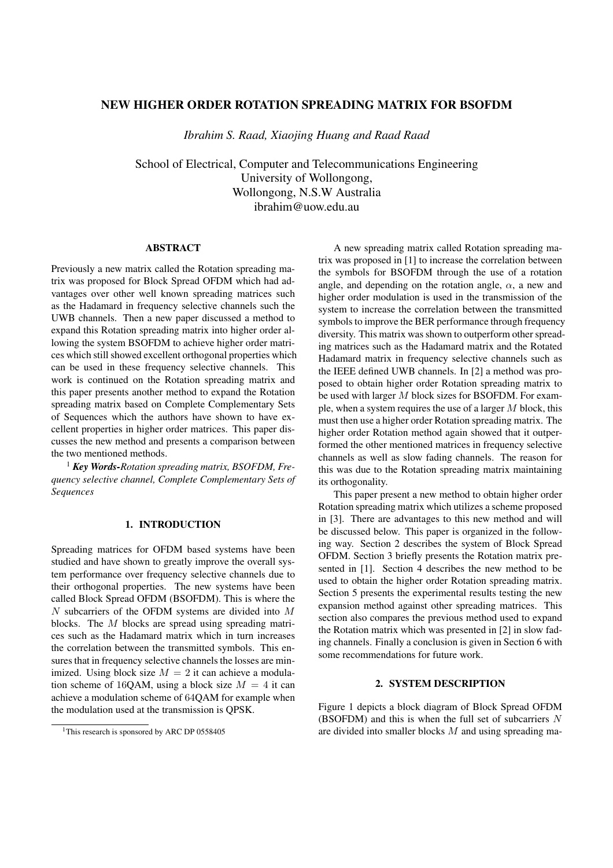# NEW HIGHER ORDER ROTATION SPREADING MATRIX FOR BSOFDM

*Ibrahim S. Raad, Xiaojing Huang and Raad Raad*

School of Electrical, Computer and Telecommunications Engineering University of Wollongong, Wollongong, N.S.W Australia ibrahim@uow.edu.au

#### ABSTRACT

Previously a new matrix called the Rotation spreading matrix was proposed for Block Spread OFDM which had advantages over other well known spreading matrices such as the Hadamard in frequency selective channels such the UWB channels. Then a new paper discussed a method to expand this Rotation spreading matrix into higher order allowing the system BSOFDM to achieve higher order matrices which still showed excellent orthogonal properties which can be used in these frequency selective channels. This work is continued on the Rotation spreading matrix and this paper presents another method to expand the Rotation spreading matrix based on Complete Complementary Sets of Sequences which the authors have shown to have excellent properties in higher order matrices. This paper discusses the new method and presents a comparison between the two mentioned methods.

<sup>1</sup> *Key Words-Rotation spreading matrix, BSOFDM, Frequency selective channel, Complete Complementary Sets of Sequences*

# 1. INTRODUCTION

Spreading matrices for OFDM based systems have been studied and have shown to greatly improve the overall system performance over frequency selective channels due to their orthogonal properties. The new systems have been called Block Spread OFDM (BSOFDM). This is where the N subcarriers of the OFDM systems are divided into M blocks. The M blocks are spread using spreading matrices such as the Hadamard matrix which in turn increases the correlation between the transmitted symbols. This ensures that in frequency selective channels the losses are minimized. Using block size  $M = 2$  it can achieve a modulation scheme of 16QAM, using a block size  $M = 4$  it can achieve a modulation scheme of 64QAM for example when the modulation used at the transmission is QPSK.

A new spreading matrix called Rotation spreading matrix was proposed in [1] to increase the correlation between the symbols for BSOFDM through the use of a rotation angle, and depending on the rotation angle,  $\alpha$ , a new and higher order modulation is used in the transmission of the system to increase the correlation between the transmitted symbols to improve the BER performance through frequency diversity. This matrix was shown to outperform other spreading matrices such as the Hadamard matrix and the Rotated Hadamard matrix in frequency selective channels such as the IEEE defined UWB channels. In [2] a method was proposed to obtain higher order Rotation spreading matrix to be used with larger M block sizes for BSOFDM. For example, when a system requires the use of a larger  $M$  block, this must then use a higher order Rotation spreading matrix. The higher order Rotation method again showed that it outperformed the other mentioned matrices in frequency selective channels as well as slow fading channels. The reason for this was due to the Rotation spreading matrix maintaining its orthogonality.

This paper present a new method to obtain higher order Rotation spreading matrix which utilizes a scheme proposed in [3]. There are advantages to this new method and will be discussed below. This paper is organized in the following way. Section 2 describes the system of Block Spread OFDM. Section 3 briefly presents the Rotation matrix presented in [1]. Section 4 describes the new method to be used to obtain the higher order Rotation spreading matrix. Section 5 presents the experimental results testing the new expansion method against other spreading matrices. This section also compares the previous method used to expand the Rotation matrix which was presented in [2] in slow fading channels. Finally a conclusion is given in Section 6 with some recommendations for future work.

## 2. SYSTEM DESCRIPTION

Figure 1 depicts a block diagram of Block Spread OFDM (BSOFDM) and this is when the full set of subcarriers  $N$ are divided into smaller blocks  $M$  and using spreading ma-

<sup>&</sup>lt;sup>1</sup>This research is sponsored by ARC DP 0558405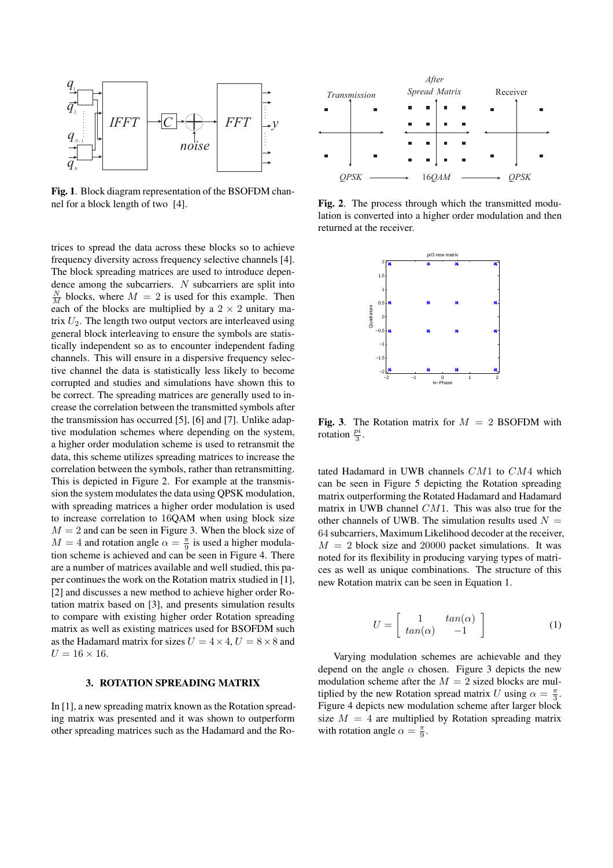

Fig. 1. Block diagram representation of the BSOFDM channel for a block length of two [4].

trices to spread the data across these blocks so to achieve frequency diversity across frequency selective channels [4]. The block spreading matrices are used to introduce dependence among the subcarriers. N subcarriers are split into  $\frac{N}{M}$  blocks, where  $M = 2$  is used for this example. Then each of the blocks are multiplied by a  $2 \times 2$  unitary matrix  $U_2$ . The length two output vectors are interleaved using general block interleaving to ensure the symbols are statistically independent so as to encounter independent fading channels. This will ensure in a dispersive frequency selective channel the data is statistically less likely to become corrupted and studies and simulations have shown this to be correct. The spreading matrices are generally used to increase the correlation between the transmitted symbols after the transmission has occurred [5], [6] and [7]. Unlike adaptive modulation schemes where depending on the system, a higher order modulation scheme is used to retransmit the data, this scheme utilizes spreading matrices to increase the correlation between the symbols, rather than retransmitting. This is depicted in Figure 2. For example at the transmission the system modulates the data using QPSK modulation, with spreading matrices a higher order modulation is used to increase correlation to 16QAM when using block size  $M = 2$  and can be seen in Figure 3. When the block size of  $M = 4$  and rotation angle  $\alpha = \frac{\pi}{9}$  is used a higher modulation scheme is achieved and can be seen in Figure 4. There are a number of matrices available and well studied, this paper continues the work on the Rotation matrix studied in [1], [2] and discusses a new method to achieve higher order Rotation matrix based on [3], and presents simulation results to compare with existing higher order Rotation spreading matrix as well as existing matrices used for BSOFDM such as the Hadamard matrix for sizes  $U = 4 \times 4$ ,  $U = 8 \times 8$  and  $U = 16 \times 16$ .

#### 3. ROTATION SPREADING MATRIX

In [1], a new spreading matrix known as the Rotation spreading matrix was presented and it was shown to outperform other spreading matrices such as the Hadamard and the Ro-



Fig. 2. The process through which the transmitted modulation is converted into a higher order modulation and then returned at the receiver.



Fig. 3. The Rotation matrix for  $M = 2$  BSOFDM with rotation  $\frac{pi}{3}$ .

tated Hadamard in UWB channels CM1 to CM4 which can be seen in Figure 5 depicting the Rotation spreading matrix outperforming the Rotated Hadamard and Hadamard matrix in UWB channel CM1. This was also true for the other channels of UWB. The simulation results used  $N =$ 64 subcarriers, Maximum Likelihood decoder at the receiver,  $M = 2$  block size and 20000 packet simulations. It was noted for its flexibility in producing varying types of matrices as well as unique combinations. The structure of this new Rotation matrix can be seen in Equation 1.

$$
U = \begin{bmatrix} 1 & \tan(\alpha) \\ \tan(\alpha) & -1 \end{bmatrix}
$$
 (1)

Varying modulation schemes are achievable and they depend on the angle  $\alpha$  chosen. Figure 3 depicts the new modulation scheme after the  $M = 2$  sized blocks are multiplied by the new Rotation spread matrix U using  $\alpha = \frac{\pi}{3}$ . Figure 4 depicts new modulation scheme after larger block size  $M = 4$  are multiplied by Rotation spreading matrix with rotation angle  $\alpha = \frac{\pi}{9}$ .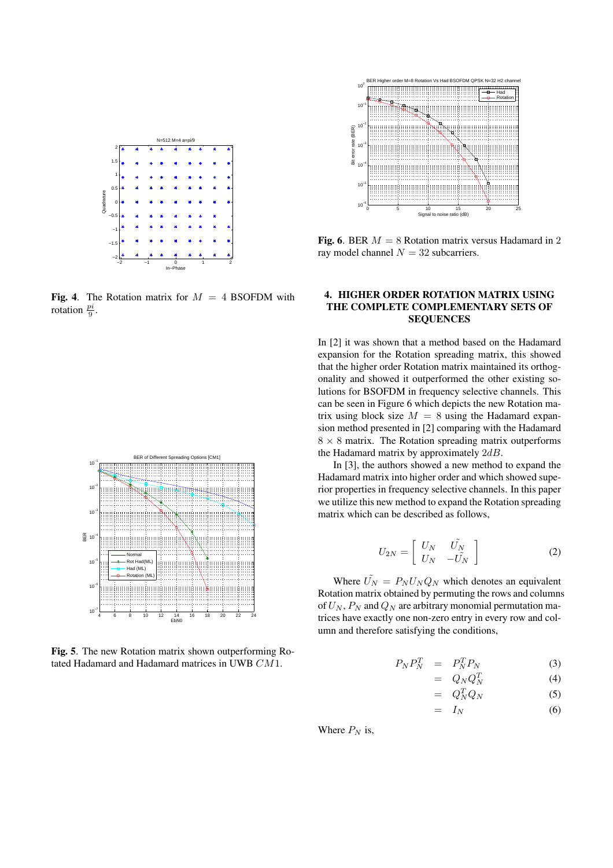

Fig. 4. The Rotation matrix for  $M = 4$  BSOFDM with rotation  $\frac{pi}{9}$ .



Fig. 5. The new Rotation matrix shown outperforming Rotated Hadamard and Hadamard matrices in UWB CM1.



Fig. 6. BER  $M = 8$  Rotation matrix versus Hadamard in 2 ray model channel  $N = 32$  subcarriers.

### 4. HIGHER ORDER ROTATION MATRIX USING THE COMPLETE COMPLEMENTARY SETS OF SEQUENCES

In [2] it was shown that a method based on the Hadamard expansion for the Rotation spreading matrix, this showed that the higher order Rotation matrix maintained its orthogonality and showed it outperformed the other existing solutions for BSOFDM in frequency selective channels. This can be seen in Figure 6 which depicts the new Rotation matrix using block size  $M = 8$  using the Hadamard expansion method presented in [2] comparing with the Hadamard  $8 \times 8$  matrix. The Rotation spreading matrix outperforms the Hadamard matrix by approximately  $2dB$ .

In [3], the authors showed a new method to expand the Hadamard matrix into higher order and which showed superior properties in frequency selective channels. In this paper we utilize this new method to expand the Rotation spreading matrix which can be described as follows,

$$
U_{2N} = \left[ \begin{array}{cc} U_N & U_N \\ U_N & -U_N \end{array} \right] \tag{2}
$$

Where  $\tilde{U_N} = P_N U_N Q_N$  which denotes an equivalent Rotation matrix obtained by permuting the rows and columns of  $U_N$ ,  $P_N$  and  $Q_N$  are arbitrary monomial permutation matrices have exactly one non-zero entry in every row and column and therefore satisfying the conditions,

$$
P_N P_N^T = P_N^T P_N \tag{3}
$$

$$
= Q_N Q_N^T \tag{4}
$$

$$
= Q_N^T Q_N \tag{5}
$$

$$
= I_N \tag{6}
$$

Where  $P_N$  is,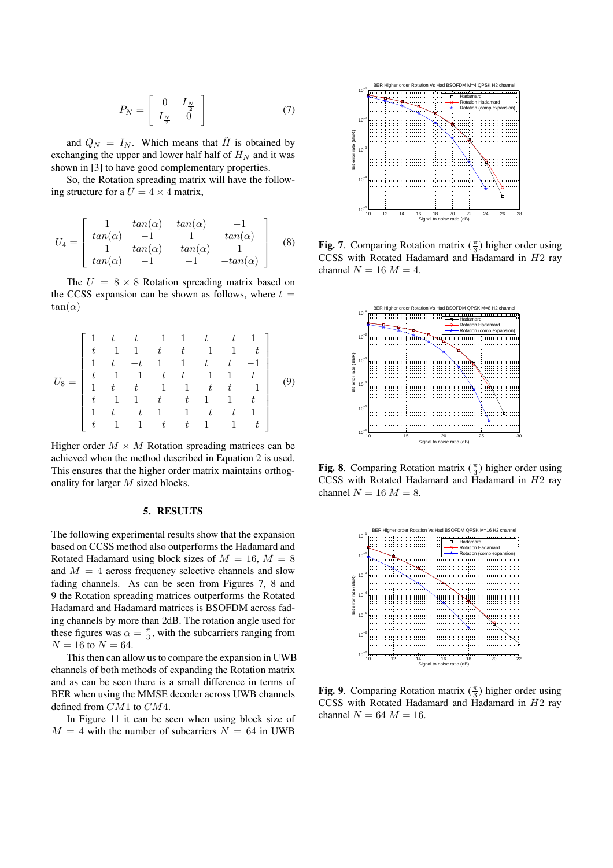$$
P_N = \left[ \begin{array}{cc} 0 & I_{\frac{N}{2}} \\ I_{\frac{N}{2}} & 0 \end{array} \right] \tag{7}
$$

and  $Q_N = I_N$ . Which means that  $\tilde{H}$  is obtained by exchanging the upper and lower half half of  $H<sub>N</sub>$  and it was shown in [3] to have good complementary properties.

So, the Rotation spreading matrix will have the following structure for a  $U = 4 \times 4$  matrix,

$$
U_4 = \begin{bmatrix} 1 & \tan(\alpha) & \tan(\alpha) & -1 \\ \tan(\alpha) & -1 & 1 & \tan(\alpha) \\ 1 & \tan(\alpha) & -\tan(\alpha) & 1 \\ \tan(\alpha) & -1 & -1 & -\tan(\alpha) \end{bmatrix}
$$
 (8)

The  $U = 8 \times 8$  Rotation spreading matrix based on the CCSS expansion can be shown as follows, where  $t =$  $tan(\alpha)$ 

$$
U_8 = \begin{bmatrix} 1 & t & t & -1 & 1 & t & -t & 1 \\ t & -1 & 1 & t & t & -1 & -1 & -t \\ 1 & t & -t & 1 & 1 & t & t & -1 \\ t & -1 & -1 & -t & t & -1 & 1 & t \\ 1 & t & t & -1 & -1 & -t & t & -1 \\ t & -1 & 1 & t & -t & 1 & 1 & t \\ 1 & t & -t & 1 & -1 & -t & -t & 1 \\ t & -1 & -1 & -t & -t & 1 & -1 & -t \end{bmatrix} \qquad (9)
$$

Higher order  $M \times M$  Rotation spreading matrices can be achieved when the method described in Equation 2 is used. This ensures that the higher order matrix maintains orthogonality for larger M sized blocks.

#### 5. RESULTS

The following experimental results show that the expansion based on CCSS method also outperforms the Hadamard and Rotated Hadamard using block sizes of  $M = 16$ ,  $M = 8$ and  $M = 4$  across frequency selective channels and slow fading channels. As can be seen from Figures 7, 8 and 9 the Rotation spreading matrices outperforms the Rotated Hadamard and Hadamard matrices is BSOFDM across fading channels by more than 2dB. The rotation angle used for these figures was  $\alpha = \frac{\pi}{3}$ , with the subcarriers ranging from  $N = 16$  to  $N = 64$ .

This then can allow us to compare the expansion in UWB channels of both methods of expanding the Rotation matrix and as can be seen there is a small difference in terms of BER when using the MMSE decoder across UWB channels defined from CM1 to CM4.

In Figure 11 it can be seen when using block size of  $M = 4$  with the number of subcarriers  $N = 64$  in UWB



Fig. 7. Comparing Rotation matrix  $(\frac{\pi}{3})$  higher order using CCSS with Rotated Hadamard and Hadamard in H2 ray channel  $N = 16 M = 4$ .



Fig. 8. Comparing Rotation matrix  $(\frac{\pi}{3})$  higher order using CCSS with Rotated Hadamard and Hadamard in H2 ray channel  $N = 16$   $M = 8$ .



Fig. 9. Comparing Rotation matrix  $(\frac{\pi}{3})$  higher order using CCSS with Rotated Hadamard and Hadamard in H2 ray channel  $N = 64 M = 16$ .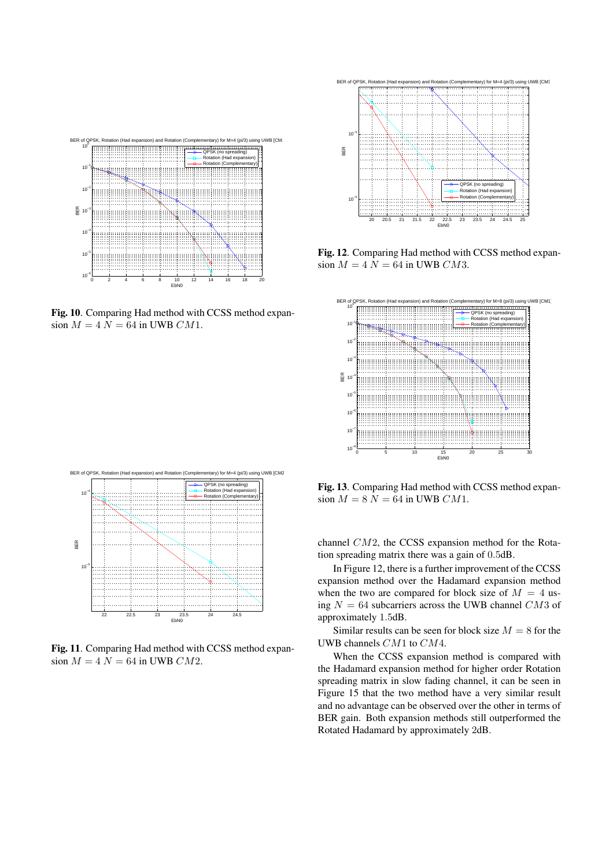

Fig. 10. Comparing Had method with CCSS method expansion  $M = 4 N = 64$  in UWB CM1.



Fig. 11. Comparing Had method with CCSS method expansion  $M = 4 N = 64$  in UWB  $CM2$ .



Fig. 12. Comparing Had method with CCSS method expansion  $M = 4 N = 64$  in UWB CM3.



Fig. 13. Comparing Had method with CCSS method expansion  $M = 8 N = 64$  in UWB  $CM1$ .

channel CM2, the CCSS expansion method for the Rotation spreading matrix there was a gain of 0.5dB.

In Figure 12, there is a further improvement of the CCSS expansion method over the Hadamard expansion method when the two are compared for block size of  $M = 4$  using  $N = 64$  subcarriers across the UWB channel CM3 of approximately 1.5dB.

Similar results can be seen for block size  $M = 8$  for the UWB channels CM1 to CM4.

When the CCSS expansion method is compared with the Hadamard expansion method for higher order Rotation spreading matrix in slow fading channel, it can be seen in Figure 15 that the two method have a very similar result and no advantage can be observed over the other in terms of BER gain. Both expansion methods still outperformed the Rotated Hadamard by approximately 2dB.